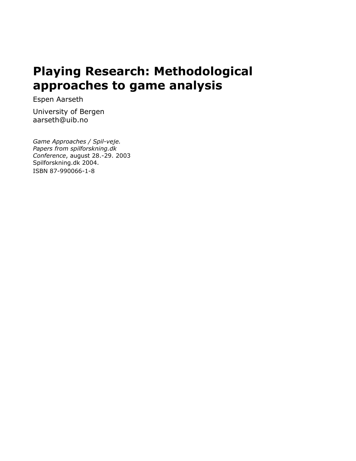# **Playing Research: Methodological approaches to game analysis**

Espen Aarseth

University of Bergen aarseth@uib.no

*Game Approaches / Spil-veje. Papers from spilforskning.dk Conference*, august 28.-29. 2003 Spilforskning.dk 2004. ISBN 87-990066-1-8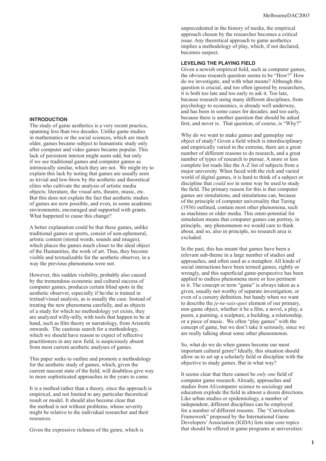#### **INTRODUCTION**

The study of game aesthetics is a very recent practice, spanning less than two decades. Unlike game studies in mathematics or the social sciences, which are much older, games became subject to humanistic study only after computer and video games became popular. This lack of persistent interest might seem odd, but only if we see traditional games and computer games as intrinsically similar, which they are not. We might try to explain this lack by noting that games are usually seen as trivial and low-brow by the aesthetic and theoretical elites who cultivate the analysis of artistic media objects: literature, the visual arts, theatre, music, etc. But this does not explain the fact that aesthetic studies of games are now possible, and even, in some academic environments, encouraged and supported with grants. What happened to cause this change?

A better explanation could be that these games, unlike traditional games or sports, consist of non-ephemeral, artistic content (stored words, sounds and images), which places the games much closer to the ideal object of the Humanities, the work of art. Thus, they become visible and textualizable for the aesthetic observer, in a way the previous phenomena were not.

However, this sudden visibility, probably also caused by the tremendous economic and cultural success of computer games, produces certain blind spots in the aesthetic observer, especially if he/she is trained in textual/visual analysis, as is usually the case. Instead of treating the new phenomena carefully, and as objects of a study for which no methodology yet exists, they are analyzed willy-nilly, with tools that happen to be at hand, such as film theory or narratology, from Aristotle onwards. The cautious search for a methodology, which we should have reason to expect of reflective practitioners in any new field, is suspiciously absent from most current aesthetic analyses of games.

This paper seeks to outline and promote a methodology for the aesthetic study of games, which, given the current nascent state of the field, will doubtless give way to more sophisticated approaches in the years to come.

It is a method rather than a theory, since the approach is empirical, and not limited to any particular theoretical result or model. It should also become clear that the method is not without problems, whose severity might be relative to the individual researcher and their resources.

Given the expressive richness of the genre, which is

unprecedented in the history of media, the empirical approach chosen by the researcher becomes a critical issue. Any theoretical approach to game aesthetics implies a methodology of play, which, if not declared, becomes suspect.

#### **LEVELING THE PLAYING FIELD**

Given a newish empirical field, such as computer games, the obvious research question seems to be "How?" How do we investigate, and with what means? Although this question is crucial, and too often ignored by researchers, it is both too late and too early to ask it. Too late, because research using many different disciplines, from psychology to economics, is already well underway, and has been in some cases for decades; and too early, because there is another question that should be asked first, and never is. That question, of course, is "Why?"

Why do we want to make games and gameplay our object of study? Given a field which is interdisciplinary and empirically varied in the extreme, there are a great number of different reasons to do research, and a great number of types of research to pursue. A more or less complete list reads like the A-Z list of subjects from a major university. When faced with the rich and varied world of digital games, it is hard to think of a subject or discipline that *could not* in some way be used to study the field. The primary reason for this is that computer games are simulations, and simulations can, because of the principle of computer universality that Turing (1936) outlined, contain most other phenomena, such as machines or older media. This omni-potential for simulation means that computer games can portray, in principle, any phenomenon we would care to think about, and so, also in principle, no research area is excluded.

In the past, this has meant that games have been a relevant sub-theme in a large number of studies and approaches, and often used as a metaphor. All kinds of social interactions have been termed games, rightly or wrongly, and this superficial game-perspective has been applied to endless phenomena more or less pertinent to it. The concept or term "game" is always taken as a given, usually not worthy of separate investigation, or even of a cursory definition, but handy when we want to describe the *je-ne-sais-quoi* element of our primary, non-game object, whether it be a film, a novel, a play, a poem, a painting, a sculpture, a building, a relationship, or a piece of music. We often "play games" with the concept of game, but we don't take it seriously, since we are really talking about some other phenomenon.

So, what do we do when games become our most important cultural genre? Ideally, this situation should allow us to set up a scholarly field or discipline with the objective to study games. But in what way?

It seems clear that there cannot be *only one* field of computer game research. Already, approaches and studies from AI/computer science to sociology and education explode the field in almost a dozen directions. Like urban studies or epidemiology, a number of independent, different disciplines can be employed for a number of different reasons. The "Curriculum Framework" proposed by the International Game Developers' Association (IGDA) lists nine core topics that should be offered in game programs at universities: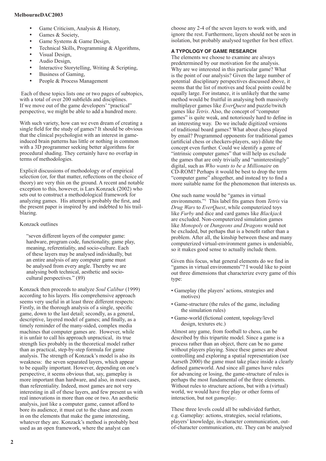# **MelbourneDAC2003**

- Game Criticism, Analysis & History,<br>
Games & Society
- Games & Society.
- Game Systems & Game Design,
- Technical Skills, Programming & Algorithms,
- Visual Design,
- Audio Design,
- Interactive Storytelling, Writing & Scripting,
- Business of Gaming,
- People & Process Management

 Each of these topics lists one or two pages of subtopics, with a total of over 200 subfields and disciplines. If we move out of the game developers' "practical" perspective, we might be able to add a hundred more.

With such variety, how can we even dream of creating a single field for the study of games? It should be obvious that the clinical psychologist with an interest in gameinduced brain patterns has little or nothing in common with a 3D programmer seeking better algorithms for procedural shading. They certainly have no overlap in terms of methodologies.

Explicit discussions of methodology or of empirical selection (or, for that matter, reflections on the choice of theory) are very thin on the ground. A recent and notable exception to this, however, is Lars Konzack (2002) who sets out to construct a methodological framework for analyzing games. His attempt is probably the first, and the present paper is inspired by and indebted to his trailblazing.

# Konzack outlines

"seven different layers of the computer game: hardware, program code, functionality, game play, meaning, referentiality, and socio-culture. Each of these layers may be analysed individually, but an entire analysis of any computer game must be analysed from every angle. Thereby we are analysing both technical, aesthetic and sociocultural perspectives." (89)

Konzack then proceeds to analyze *Soul Calibur* (1999) according to his layers. His comprehensive approach seems very useful in at least three different respects: Firstly, in the thorough analysis of a single, specific game, down to the last detail; secondly, as a general, descriptive, layered model of games; and finally, as a timely reminder of the many-sided, complex media machines that computer games are. However, while it is unfair to call his approach unpractical, its true strength lies probably in the theoretical model rather than as practical, step-by-step formula for game analysis. The strength of Konzack's model is also its weakness: the seven separated layers, which appear to be equally important. However, depending on one's perspective, it seems obvious that, say, gameplay is more important than hardware, and also, in most cases, than referentiality. Indeed, most games are not very interesting in all of these layers, and few present us with real innovations in more than one or two. An aesthetic analysis, just like a computer game, cannot afford to bore its audience, it must cut to the chase and zoom in on the elements that make the game interesting, whatever they are. Konzack's method is probably best used as an open framework, where the analyst can

choose any 2-4 of the seven layers to work with, and ignore the rest. Furthermore, layers should not be seen in isolation, but probably analysed together for best effect.

# **A TYPOLOGY OF GAME RESEARCH**

The elements we choose to examine are always predetermined by our motivation for the analysis. Why are we interested in this particular game? What is the point of our analysis? Given the large number of potential disciplinary perspectives discussed above, it seems that the list of motives and focal points could be equally large. For instance, it is unlikely that the same method would be fruitful in analysing both massively multiplayer games like *EverQuest* and puzzle/twitch games like *Tetris*. Also, the concept of "computer games" is quite weak, and notoriously hard to define in an interesting way. Do we include digitized versions of traditional board games? What about chess played by email? Programmed opponents for traditional games (artificial chess or checkers-players, say) dilute the concept even further. Could we identify a genre of "intrinsic computer games" that will help us exclude the games that are only trivially and "uninterestingly" digital, such as *Who wants to be a Millionaire* on CD-ROM? Perhaps it would be best to drop the term "computer game" altogether, and instead try to find a more suitable name for the phenomenon that interests us.

One such name would be "games in virtual environments."1 This label fits games from *Tetris* via *Drug Wars* to *EverQuest*, while computerized toys like *Furby* and dice and card games like *Blackjack* are excluded. Non-computerized simulation games like *Monopoly* or *Dungeons and Dragons* would not be excluded, but perhaps that is a benefit rather than a problem. After all, the kinship between these and many computerized virtual-environment games is undeniable, so it makes good sense to actually include them.

Given this focus, what general elements do we find in "games in virtual environments"? I would like to point out three dimensions that characterize every game of this type:

- Gameplay (the players' actions, strategies and motives)
- Game-structure (the rules of the game, including the simulation rules)
- Game-world (fictional content, topology/level design, textures etc.)

Almost any game, from football to chess, can be described by this tripartite model. Since a game is a process rather than an object, there can be no game without players playing. Since these games are about controlling and exploring a spatial representation (see Aarseth 2000) the game must take place inside a clearly defined gameworld. And since all games have rules for advancing or losing, the game-structure of rules is perhaps the most fundamental of the three elements. Without rules to structure actions, but with a (virtual) world, we would have free play or other forms of interaction, but not *gameplay*.

These three levels could all be subdivided further, e.g. Gameplay: actions, strategies, social relations, players' knowledge, in-character communication, outof-character communication, etc. They can be analysed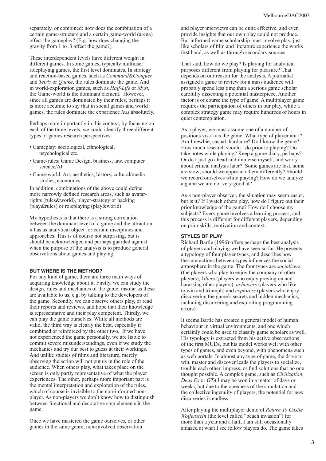separately, or combined: how does the combination of a certain game-structure and a certain game-world (arena) affect the gameplay? (E.g. how does changing the gravity from 1 to .3 affect the game?)

These interdependent levels have different weight in different games. In some games, typically multiuser roleplaying games, the first level dominates. In strategy and reaction-based games, such as *Command&Conquer* and *Tetris* or *Quake*, the rules dominate the game. And in world-exploration games, such as *Half-Life* or *Myst*, the Game-world is the dominant element. However, since all games are dominated by their rules, perhaps it is more accurate to say that in social games and world games, the rules dominate the experience *less* absolutely.

Perhaps more importantly in this context, by focusing on each of the three levels, we could identify three different types of games research perspectives:

- Gameplay: sociological, ethnological, psychological etc.
- Game-rules: Game Design, business, law, computer science/AI
- Game-world: Art, aesthetics, history, cultural/media studies, economics

In addition, combinations of the above could define more narrowly defined research areas, such as avatarrights (rules&world), player-strategy or hacking (play&rules) or roleplaying (play&world).

My hypothesis is that there is a strong correlation between the dominant level of a game and the attraction it has as analytical object for certain disciplines and approaches. This is of course not surprising, but is should be acknowledged and perhaps guarded against when the purpose of the analysis is to produce general observations about games and playing.

# **BUT WHERE IS THE METHOD?**

For any kind of game, there are three main ways of acquiring knowledge about it. Firstly, we can study the design, rules and mechanics of the game, insofar as these are available to us, e.g. by talking to the developers of the game. Secondly, we can observe others play, or read their reports and reviews, and hope that their knowledge is representative and their play competent. Thirdly, we can play the game ourselves. While all methods are valid, the third way is clearly the best, especially if combined or reinforced by the other two. If we have not experienced the game personally, we are liable to commit severe misunderstandings, even if we study the mechanics and try our best to guess at their workings. And unlike studies of films and literature, merely observing the action will not put us in the role of the audience. When others play, what takes place on the screen is only partly representative of what the player experiences. The other, perhaps more important part is the mental interpretation and exploration of the rules, which of course is invisible to the non-informed nonplayer. As non-players we don't know how to distinguish between functional and decorative sign elements in the game.

Once we have mastered the game ourselves, or other games in the same genre, non-involved observation

and player interviews can be quite effective, and even provide insights that our own play could not produce. But informed game scholarship must involve play, just like scholars of film and literature experience the works first hand, as well as through secondary sources.

That said, how do we play? Is playing for analytical purposes different from playing for pleasure? That depends on our reason for the analysis. A journalist assigned a game to review for a mass audience will probably spend less time than a serious game scholar carefully dissecting a potential masterpiece. Another factor is of course the type of game. A multiplayer game requires the participation of others in our play, while a complex strategy game may require hundreds of hours in quiet contemplation.

As a player, we must assume one of a number of positions vis-à-vis the game. What type of player am I? Am I newbie, casual, hardcore? Do I know the genre? How much research should I do prior to playing? Do I take notes while playing? Keep a game-diary, perhaps? Or do I just go ahead and immerse myself, and worry about critical analysis later? Some games are fast, some are slow; should we approach them differently? Should we record ourselves while playing? How do we analyze a game we are not very good at?

As a non-player observer, the situation may seem easier, but is it? If I watch others play, how do I figure out their prior knowledge of the game? How do I choose my subjects? Every game involves a learning process, and this process is different for different players, depending on prior skills, motivation and context.

#### **STYLES OF PLAY**

Richard Bartle (1996) offers perhaps the best analysis of players and playing we have seen so far. He presents a typology of four player types, and describes how the interactions between types influences the social atmosphere in the game. The four types are *socializers* (the players who play to enjoy the company of other players), *killers* (players who enjoy preying on and harassing other players), *achievers* (players who like to win and triumph) and *explorers* (players who enjoy discovering the game's secrets and hidden mechanics, including discovering and exploiting programming errors).

It seems Bartle has created a general model of human behaviour in virtual environments, and one which certainly could be used to classify game scholars as well. His typology is extracted from his active observations of the first MUDs, but his model works well with other types of games, and even beyond, with phenomena such as web portals. In almost any type of game, the drive to win, master and discover leads the players to socialize, trouble each other, impress, or find solutions that no one thought possible. A complex game, such as *Civilization*, *Deus Ex* or *GTA3* may be won in a matter of days or weeks, but due to the openness of the simulation and the collective ingenuity of players, the potential for new discoveries is endless.

After playing the multiplayer demo of *Return To Castle Wolfenstein* (the level called "beach invasion") for more than a year and a half, I am still occasionally amazed at what I see fellow players do. The game takes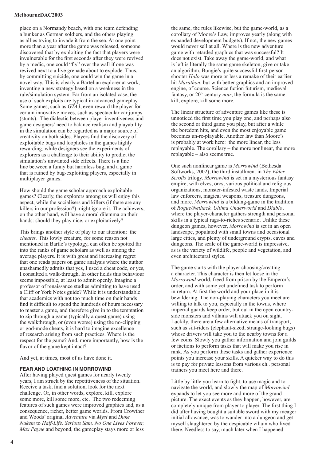# **MelbourneDAC2003**

place on a Normandy beach, with one team defending a bunker as German soldiers, and the others playing as allies trying to invade it from the sea. At one point more than a year after the game was released, someone discovered that by exploiting the fact that players were invulnerable for the first seconds after they were revived by a medic, one could "fly" over the wall if one was revived next to a live grenade about to explode. Thus, by committing suicide, one could win the game in a novel way. This is clearly a Bartelian explorer at work, inventing a new strategy based on a weakness in the rule/simulation system. Far from an isolated case, the use of such exploits are typical in advanced gameplay. Some games, such as *GTA3*, even reward the player for certain innovative moves, such as spectacular car jumps (stunts). The dialectic between player inventiveness and game designers' need to balance realism and playability in the simulation can be regarded as a major source of creativity on both sides. Players find the discovery of exploitable bugs and loopholes in the games highly rewarding, while designers see the experiments of explorers as a challenge to their ability to predict the simulation's unwanted side effects. There is a fine line between a funny but harmless bug, and a game that is ruined by bug-exploiting players, especially in multiplayer games.

How should the game scholar approach exploitable games? Clearly, the explorers among us will enjoy this aspect, while the socialisers and killers (if there are any killers in our profession?) might ignore it. The achievers, on the other hand, will have a moral dilemma on their hands: should they play nice, or exploitatively?

This brings another style of play to our attention: the *cheater*. This lowly creature, for some reason not mentioned in Bartle's typology, can often be spotted far into the ranks of game scholars as well as among the average players. It is with great and increasing regret that one reads papers on game analysis where the author unashamedly admits that yes, I used a cheat code, or yes, I consulted a walk-through. In other fields this behaviour seems impossible, at least to admit openly. Imagine a professor of renaissance studies admitting to have used a Cliff or York Notes guide? While it is understandable that academics with not too much time on their hands find it difficult to spend the hundreds of hours necessary to master a game, and therefore give in to the temptation to zip through a game (typically a quest game) using the walkthrough, or (even worse) using the no-clipping or god-mode cheats, it is hard to imagine excellence of research arising from such practices. Where is the respect for the game? And, more importantly, how is the flavor of the game kept intact?

And yet, at times, most of us have done it.

#### **FEAR AND LOATHING IN MORROWIND**

After having played quest games for nearly twenty years, I am struck by the repetitiveness of the situation. Receive a task, find a solution, look for the next challenge. Or, in other words, explore, kill, explore some more, kill some more, etc. The two redeeming features of such games were improved graphics and, as a consequence, richer, better game worlds. From Crowther and Woods' original *Adventure* via *Myst* and *Duke Nukem* to *Half-Life, Serious Sam, No One Lives Forever, Max Payne* and beyond, the gameplay stays more or less

the same, the rules likewise, but the game-world, as a corollary of Moore's Law, improves yearly (along with expanded development budgets). If not, the new games would never sell at all. Where is the new adventure game with retarded graphics that was successful? It does not exist. Take away the game-world, and what is left is literally the same game skeleton, give or take an algorithm. Bungie's quite successful first-personshooter *Halo* was more or less a remake of their earlier hit *Marathon*, but with better graphics and an improved engine, of course. Science fiction futurism, medieval fantasy, or  $20<sup>th</sup>$  century *noir*, the formula is the same: kill, explore, kill some more.

The linear structure of adventure games like these is unnoticed the first time you play one, and perhaps also the second or third game you play, but after a while the boredom hits, and even the most enjoyable game becomes un-re-playable. Another law than Moore's is probably at work here: the more linear, the less replayable. The corollary – the more nonlinear, the more replayable – also seems true.

One such nonlinear game is *Morrowind* (Bethesda Softworks, 2002), the third installment in *The Elder Scrolls* trilogy. *Morrowind* is set in a mysterious fantasy empire, with elves, orcs, various political and religious organizations, monster-infested waste lands, Imperial law enforcers, magical weapons, treasure dungeons, and more. *Morrowind* is a bildung-game in the tradition of *Rogue/Nethack, Ultima Underworld* and *Diablo*, where the player-character gathers strength and personal skills in a typical rags-to-riches scenario. Unlike these dungeon games, however, *Morrowind* is set in an open landscape, populated with small towns and occasional large cities, and plenty of underground crypts, caves and dungeons. The scale of the game-world is impressive, as is the variety of wildlife, people and vegetation, and even architectural styles.

The game starts with the player choosing/creating a character. This character is then let loose in the *Morrowind* world, freed from prison by the Emperor's order, and with some yet undefined task to perform in return. At first the world and your place in it is bewildering. The non-playing characters you meet are willing to talk to you, especially in the towns, where imperial guards keep order, but out in the open countryside monsters and villains will attack you on sight. Luckily, there are a few alternative means of transport, such as silt-riders (elephant-sized, strange-looking bugs) whose drivers will take you to the nearby towns for a few coins. Slowly you gather information and join guilds or factions to perform tasks that will make you rise in rank. As you perform these tasks and gather experience points you increase your skills. A quicker way to do this is to pay for private lessons from various eh.. personal trainers you meet here and there.

Little by little you learn to fight, to use magic and to navigate the world, and slowly the map of *Morrowind* expands to let you see more and more of the grand picture. The exact events as they happen, however, are completely unique from player to player. The first thing I did after having bought a suitable sword with my meager initial allowance, was to wander into a dungeon and get myself slaughtered by the despicable villain who lived there. Needless to say, much later when I happened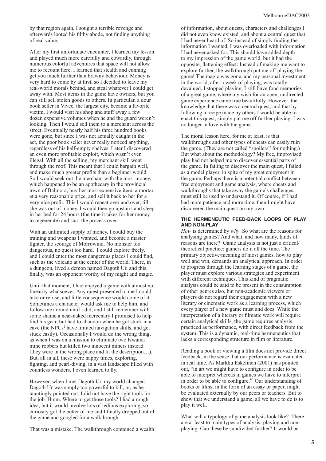by that region again, I sought a terrible revenge and afterwards looted his filthy abode, not finding anything of real value.

After my first unfortunate encounter, I learned my lesson and played much more carefully and cowardly, through numerous colorful adventures that space will not allow me to recount here. I learned that stealth and cunning get you much further than brawny behaviour. Money is very hard to come by at first, so I decided to leave my real-world morals behind, and steal whatever I could get away with. Most items in the game have owners, but you can still sell stolen goods to others. In particular, a dour book seller in Vivec, the largest city, became a favorite victim. I would visit his shop and stuff away a few dozen expensive volumes when he and the guard weren't looking. Then I would sell them to a merchant across the street. Eventually nearly half his three hundred books were gone, but since I was not actually caught in the act, the poor book seller never really noticed anything, regardless of his half-empty shelves. Later I discovered an even more profitable exploit, which wasn't even illegal. With all the selling, my merchant skill went through the roof. This meant that I could bargain well, and make much greater profits than a beginner would. So I would seek out the merchant with the most money, which happened to be an apothecary in the provincial town of Balmora, buy her most expensive item, a mortar, at a very reasonable price, and sell it back to her for a very nice profit. This I would repeat over and over, till she was out of money. I would then go upstairs and sleep in her bed for 24 hours (the time it takes for her money to regenerate) and start the process over.

With an unlimited supply of money, I could buy the training and weapons I wanted, and become a master fighter, the scourge of Morrowind. No monster too dangerous, no quest too hard. I could explore freely, and I could enter the most dangerous places I could find, such as the volcano at the center of the world. There, in a dungeon, lived a demon named Dagoth Ur, and this, finally, was an opponent worthy of my might and magic.

Until that moment, I had enjoyed a game with almost no linearity whatsoever. Any quest presented to me I could take or refuse, and little consequence would come of it. Sometimes a character would ask me to help him, and follow me around until I did, and I still remember with some shame a near-naked mercenary I promised to help find his gear, but had to abandon when he got stuck in a cave (the NPCs<sup>2</sup> have limited navigation skills, and get stuck easily). Occasionally I would do the wrong thing, as when I was on a mission to eliminate two Kwama mine robbers but killed two innocent miners instead (they were in the wrong place and fit the description…). But, all in all, these were happy times, exploring, fighting, and pearl-diving, in a vast landscape filled with countless wonders. I even learned to fly.

However, when I met Dagoth Ur, my world changed. Dagoth Ur was simply too powerful to kill, or, as he tauntingly pointed out, I did not have the right tools for the job. Hmm. Where to get those tools? I had a rough idea, but it would involve lots of tedious exploring, so curiosity got the better of me and I finally dropped out of the game and googled for a walkthrough.

That was a mistake. The walkthrough contained a wealth

of information, about quests, characters and challenges I did not even know existed, and about a central quest that I had never heard of. So instead of simply finding the information I wanted, I was overloaded with information I had never asked for. This should have added depth to my impression of the game world, but it had the opposite, flattening effect: Instead of making me want to explore further, the walkthrough put me off playing the game! The magic was gone, and my personal investment in the world, after a week of playing, was totally devalued. I stopped playing. I still have fond memories of a great game, where my wish for an open, undirected game experience came true beautifully. However, the knowledge that there was a central quest, and that by following a recipe made by others I would be able to enact this quest, simply put me off further playing. I was no longer in love with the game.

The moral lesson here, for me at least, is that walkthroughs and other types of cheats can easily ruin the game. (They are not called "spoilers" for nothing.) But what about the methodology? My free, improvised play had not helped me to discover essential parts of the game. In failing to discover the main quest, I failed as a model player, in spite of my great enjoyment in the game. Perhaps there is a potential conflict between free enjoyment and game analysis, where cheats and walkthroughs that take away the game's challenges, must still be used to understand it. Of course, if I had had more patience and more time, then I might have discovered the main quest on my own.

#### **THE HERMENEUTIC FEED-BACK LOOPS OF PLAY AND NON-PLAY**

*How* is determined by *why*. So what are the reasons for analysing games? And what, and how many, kinds of reasons are there? Game analysis is not just a critical/ theoretical practice; gamers do it all the time. The primary objective/meaning of most games, how to play well and win, demands an analytical approach. In order to progress through the learning stages of a game, the player must explore various strategies and experiment with different techniques. This kind of pragmatic analysis could be said to be present in the consumption of other genres also, but non-academic viewers or players do not regard their engagement with a new literary or cinematic work as a learning process, which every player of a new game must and does. While the interpretation of a literary or filmatic work will require certain analytical skills, the game requires analysis practiced as performance, with direct feedback from the system. This is a dynamic, real-time hermeneutics that lacks a corresponding structure in film or literature.

Reading a book or viewing a film does not provide direct feedback, in the sense that our performance is evaluated in real time. As Markku Eskelinen (2001) has pointed out, "in art we might have to configure in order to be able to interpret whereas in games we have to interpret in order to be able to configure." Our understanding of books or films, in the form of an essay or paper, might be evaluated externally by our peers or teachers. But to show that we understand a game, all we have to do is to play it well.

What will a typology of game analysis look like? There are at least to main types of analysis: playing and nonplaying. Can these be subdivided further? It would be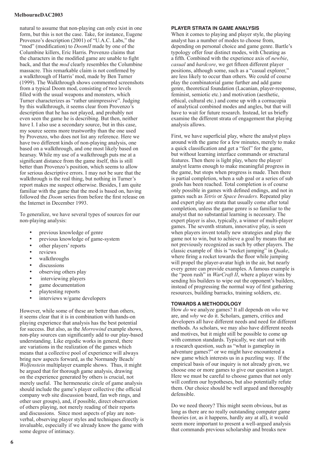# **MelbourneDAC2003**

natural to assume that non-playing can only exist in one form, but this is not the case. Take, for instance, Eugene Provenzo's description (2001) of "U.A.C. Labs," the "mod" (modification) to *DoomII* made by one of the Columbine killers, Eric Harris. Provenzo claims that the characters in the modified game are unable to fight back, and that the *mod* clearly resembles the Columbine massacre. This remarkable claim is not confirmed by a walkthrough of Harris' mod, made by Ben Turner (1999). The Walkthrough shows commented screenshots from a typical Doom mod, consisting of two levels filled with the usual weapons and monsters, which Turner characterizes as "rather unimpressive". Judging by this walkthrough, it seems clear from Provenzo's description that he has not played, and probably not even seen the game he is describing. But then, neither have I. I also use a secondary source, but in this case, my source seems more trustworthy than the one used by Provenzo, who does not list any reference. Here we have two different kinds of non-playing analysis, one based on a walkthrough, and one most likely based on hearsay. While my use of a walkthrough puts me at a significant distance from the game itself, this is still better than Provenzo's position, which seems to allow for serious descriptive errors. I may not be sure that the walkthrough is the real thing, but nothing in Turner's report makes me suspect otherwise. Besides, I am quite familiar with the game that the mod is based on, having followed the *Doom* series from before the first release on the Internet in December 1993.

To generalize, we have several types of sources for our non-playing analysis:

- previous knowledge of genre
- previous knowledge of game-system
- other players' reports
- reviews
- walkthroughs
- discussions
- observing others play
- interviewing players
- game documentation
- playtesting reports
- interviews w/game developers

However, while some of these are better than others, it seems clear that it is in combination with hands-on playing experience that analysis has the best potential for success. But also, as the *Morrowind* example shows, non-play sources can significantly add to our play-based understanding. Like ergodic works in general, there are variations in the realization of the games which means that a collective pool of experience will always bring new aspects forward, as the Normandy Beach/ *Wolfenstein* multiplayer example shows. Thus, it might be argued that for thorough game analysis, drawing on the experience generated by others is crucial, not merely useful. The hermeneutic circle of game analysis should include the game's player collective (the official company web site discussion board, fan web rings, and other user groups), and, if possible, direct observation of others playing, not merely reading of their reports and discussions. Since most aspects of play are nonverbal, observing player styles and techniques directly is invaluable, especially if we already know the game with some degree of intimacy.

#### **PLAYER STRATA IN GAME ANALYSIS**

When it comes to playing and player style, the playing analyst has a number of modes to choose from, depending on personal choice and game genre. Bartle's typology offer four distinct modes, with Cheating as a fifth. Combined with the experience axis of *newbie*, *casual* and *hardcore*, we get fifteen different player positions, although some, such as a "casual explorer," are less likely to occur than others. We could of course play the combinatorial game further and add game genre, theoretical foundation (Lacanian, player-response, feminist, semiotic etc.) and motivation (aesthetic, ethical, cultural etc.) and come up with a cornucopia of analytical combined modes and angles, but that will have to wait for future research. Instead, let us briefly examine the different strata of engagement that playing analysis allows.

First, we have superficial play, where the analyst plays around with the game for a few minutes, merely to make a quick classification and get a "feel" for the game, but without learning interface commands or structural features. Then there is light play, where the player/ analyst learns enough to make meaningful progress in the game, but stops when progress is made. Then there is partial completion, when a sub goal or a series of sub goals has been reached. Total completion is of course only possible in games with defined endings, and not in games such as *Tetris* or *Space Invaders*. Repeated play and expert play are strata that usually come after total completion, unless the game genre is so familiar to the analyst that no substantial learning is necessary. The expert player is also, typically, a winner of multi-player games. The seventh stratum, innovative play, is seen when players invent totally new strategies and play the game not to win, but to achieve a goal by means that are not previously recognized as such by other players. The classic example of this is "rocket jumping" in *Quake*, where firing a rocket towards the floor while jumping will propel the player-avatar high in the air, but nearly every genre can provide examples. A famous example is the "peon rush" in *WarCraft II*, where a player wins by sending his builders to wipe out the opponent's builders, instead of progressing the normal way of first gathering resources, building barracks, training soldiers, etc.

# **TOWARDS A METHODOLOGY**

How *do* we analyze games? It all depends on *who* we are, and *why* we do it. Scholars, gamers, critics and developers all have different needs and need for different methods. As scholars, we may also have different needs and motives, but it might still be possible to come up with common standards. Typically, we start out with a research question, such as "what is gameplay in adventure games?" or we might have encountered a new game which interests us in a puzzling way. If the empirical basis of our inquiry is not already given, we choose one or more games to give our question a target. Here we must be careful to choose games that not only will confirm our hypotheses, but also potentially refute them. Our choice should be well argued and thoroughly defensible.

Do we need theory? This might seem obvious, but as long as there are no really outstanding computer game theories (or, as it happens, hardly any at all), it would seem more important to present a well-argued analysis that commands previous scholarship and breaks new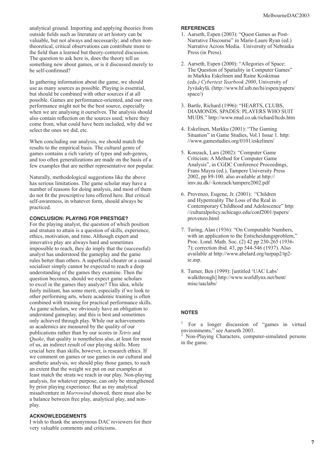analytical ground. Importing and applying theories from outside fields such as literature or art history can be valuable, but not always and necessarily; and often nontheoretical, critical observations can contribute more to the field than a learned but theory-centered discussion. The question to ask here is, does the theory tell us something new about games, or is it discussed merely to be self-confirmed?

In gathering information about the game, we should use as many sources as possible. Playing is essential, but should be combined with other sources if at all possible. Games are performance-oriented, and our own performance might not be the best source, especially when we are analysing it ourselves. The analysis should also contain reflection on the sources used; where they come from, what could have been included, why did we select the ones we did, etc.

When concluding our analysis, we should match the results to the empirical basis. The cultural genre of games contains a rich variety of types and sub-genres, and too often generalizations are made on the basis of a few examples that are neither representative nor popular.

Naturally, methodological suggestions like the above has serious limitations. The game scholar may have a number of reasons for doing analysis, and most of them do not fit the prescriptive lens offered here. But critical self-awareness, in whatever form, should always be practiced.

# **CONCLUSION: PLAYING FOR PRESTIGE?**

For the playing analyst, the question of which position and stratum to attain is a question of skills, experience, ethics, motivation, and time. Although expert and innovative play are always hard and sometimes impossible to reach, they do imply that the (successful) analyst has understood the gameplay and the game rules better than others. A superficial cheater or a casual socialiser simply cannot be expected to reach a deep understanding of the games they examine. Then the question becomes, should we expect game scholars to excel in the games they analyze? This idea, while fairly militant, has some merit, especially if we look to other performing arts, where academic training is often combined with training for practical performance skills. As game scholars, we obviously have an obligation to understand gameplay, and this is best and sometimes only achieved through play. While our achievements as academics are measured by the quality of our publications rather than by our scores in *Tetris* and *Quake*, that quality is nonetheless also, at least for most of us, an indirect result of our playing skills. More crucial here than skills, however, is research ethics. If we comment on games or use games in our cultural and aesthetic analysis, we should play those games, to such an extent that the weight we put on our examples at least match the strata we reach in our play. Non-playing analysis, for whatever purpose, can only be strengthened by prior playing experience. But as my analytical misadventure in *Morrowind* showed, there must also be a balance between free play, analytical play, and nonplay.

# **ACKNOWLEDGEMENTS**

I wish to thank the anonymous DAC reviewers for their very valuable comments and criticisms.

# **REFERENCES**

- 1. Aarseth, Espen (2003): "Quest Games as Post-Narrative Discourse" in Marie-Laure Ryan (ed.) Narrative Across Media. University of Nebraska Press (in Press).
- 2. Aarseth, Espen (2000): "Allegories of Space: The Question of Spatiality in Computer Games" in Markku Eskelinen and Raine Koskimaa (eds.*) Cybertext Yearbook 2000*, University of Jyväskylä. (http://www.hf.uib.no/hi/espen/papers/ space/)
- 3. Bartle, Richard (1996): "HEARTS, CLUBS, DIAMONDS, SPADES: PLAYERS WHO SUIT MUDS." http://www.mud.co.uk/richard/hcds.htm
- 4. Eskelinen, Markku (2001): "The Gaming Situation" in Game Studies, Vol.1 Issue 1. http: //www.gamestudies.org/0101/eskelinen/
- 5. Konzack, Lars (2002): "Computer Game Criticism: A Method for Computer Game Analysis", in CGDC Conference Proceedings, Frans Mayra (ed.), Tampere University Press 2002, pp 89-100. also available at http:// imv.au.dk/~konzack/tampere2002.pdf
- 6. Provenzo, Eugene, Jr. (2001): "Children and Hyperreality The Loss of the Real in Contemporary Childhood and Adolescence" http: //culturalpolicy.uchicago.edu/conf2001/papers/ provenzo.html
- 7. Turing, Alan (1936): "On Computable Numbers, with an application to the Entscheidungsproblem," Proc. Lond. Math. Soc. (2) 42 pp 230-265 (1936- 7); correction ibid. 43, pp 544-546 (1937). Also available at http://www.abelard.org/turpap2/tp2 ie.asp.
- 8. Turner, Ben (1999): [untitled 'UAC Labs' walkthrough] http://www.worldlynx.net/bent/ misc/uaclabs/

# **NOTES**

<sup>1</sup> For a longer discussion of "games in virtual environments," see Aarseth 2003.

<sup>2</sup> Non-Playing Characters, computer-simulated persons in the game.